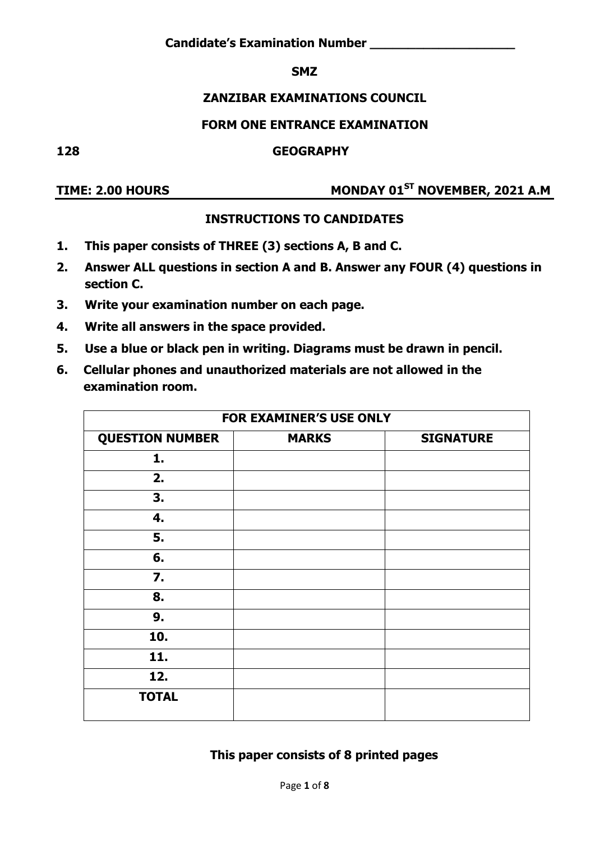### **SMZ**

## **ZANZIBAR EXAMINATIONS COUNCIL**

## **FORM ONE ENTRANCE EXAMINATION**

**128 GEOGRAPHY** 

# **TIME: 2.00 HOURS MONDAY 01ST NOVEMBER, 2021 A.M**

## **INSTRUCTIONS TO CANDIDATES**

- **1. This paper consists of THREE (3) sections A, B and C.**
- **2. Answer ALL questions in section A and B. Answer any FOUR (4) questions in section C.**
- **3. Write your examination number on each page.**
- **4. Write all answers in the space provided.**
- **5. Use a blue or black pen in writing. Diagrams must be drawn in pencil.**
- **6. Cellular phones and unauthorized materials are not allowed in the examination room.**

| <b>FOR EXAMINER'S USE ONLY</b>                             |  |  |  |  |  |  |
|------------------------------------------------------------|--|--|--|--|--|--|
| <b>QUESTION NUMBER</b><br><b>MARKS</b><br><b>SIGNATURE</b> |  |  |  |  |  |  |
| 1.                                                         |  |  |  |  |  |  |
| 2.                                                         |  |  |  |  |  |  |
| 3.                                                         |  |  |  |  |  |  |
| 4.                                                         |  |  |  |  |  |  |
| 5.                                                         |  |  |  |  |  |  |
| 6.                                                         |  |  |  |  |  |  |
| $\mathbf{7}$ .                                             |  |  |  |  |  |  |
| 8.                                                         |  |  |  |  |  |  |
| 9.                                                         |  |  |  |  |  |  |
| 10.                                                        |  |  |  |  |  |  |
| 11.                                                        |  |  |  |  |  |  |
| 12.                                                        |  |  |  |  |  |  |
| <b>TOTAL</b>                                               |  |  |  |  |  |  |

## **This paper consists of 8 printed pages**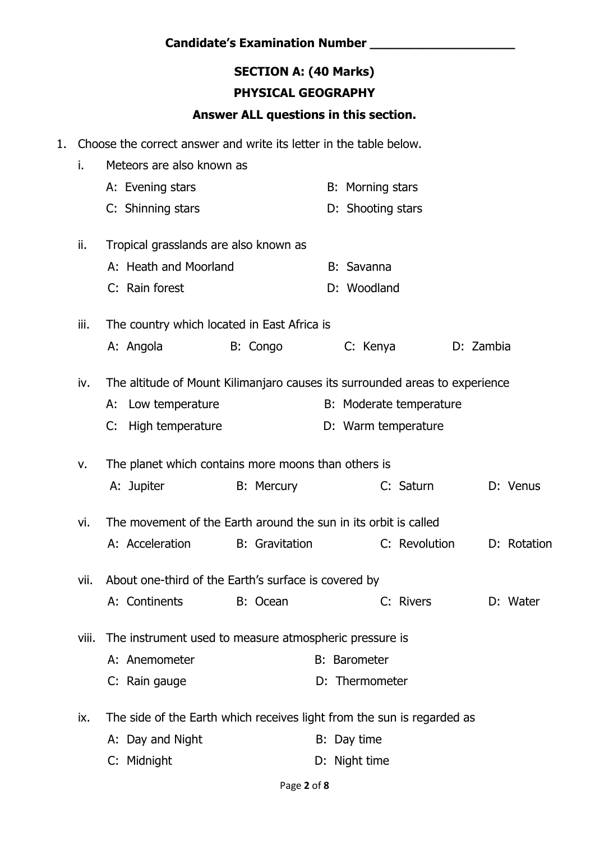## **SECTION A: (40 Marks) PHYSICAL GEOGRAPHY**

### **Answer ALL questions in this section.**

1. Choose the correct answer and write its letter in the table below.

| i.    | Meteors are also known as                                                   |                       |                     |                         |             |
|-------|-----------------------------------------------------------------------------|-----------------------|---------------------|-------------------------|-------------|
|       | A: Evening stars                                                            |                       | B: Morning stars    |                         |             |
|       | C: Shinning stars                                                           |                       | D: Shooting stars   |                         |             |
| ii.   | Tropical grasslands are also known as                                       |                       |                     |                         |             |
|       | A: Heath and Moorland                                                       |                       | B: Savanna          |                         |             |
|       | C: Rain forest                                                              |                       | D: Woodland         |                         |             |
| iii.  | The country which located in East Africa is                                 |                       |                     |                         |             |
|       | A: Angola                                                                   | B: Congo              | C: Kenya            |                         | D: Zambia   |
| iv.   | The altitude of Mount Kilimanjaro causes its surrounded areas to experience |                       |                     |                         |             |
|       | A: Low temperature                                                          |                       |                     | B: Moderate temperature |             |
|       | High temperature<br>C:                                                      |                       |                     | D: Warm temperature     |             |
| v.    | The planet which contains more moons than others is                         |                       |                     |                         |             |
|       | A: Jupiter                                                                  | <b>B:</b> Mercury     |                     | C: Saturn               | D: Venus    |
| vi.   | The movement of the Earth around the sun in its orbit is called             |                       |                     |                         |             |
|       | A: Acceleration                                                             | <b>B:</b> Gravitation |                     | C: Revolution           | D: Rotation |
| vii.  | About one-third of the Earth's surface is covered by                        |                       |                     |                         |             |
|       | A: Continents                                                               | B: Ocean              |                     | C: Rivers               | D: Water    |
| viii. | The instrument used to measure atmospheric pressure is                      |                       |                     |                         |             |
|       | A: Anemometer                                                               |                       | <b>B:</b> Barometer |                         |             |
|       | C: Rain gauge                                                               |                       | D: Thermometer      |                         |             |
| ix.   | The side of the Earth which receives light from the sun is regarded as      |                       |                     |                         |             |
|       | A: Day and Night                                                            |                       | B: Day time         |                         |             |
|       | C: Midnight                                                                 |                       | D: Night time       |                         |             |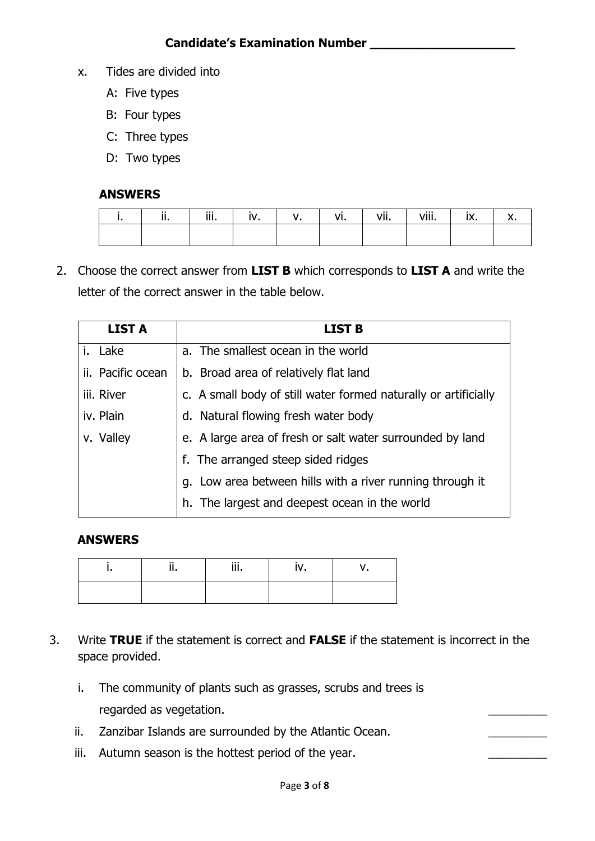- x. Tides are divided into
	- A: Five types
	- B: Four types
	- C: Three types
	- D: Two types

#### **ANSWERS**

| $\cdot$ .<br>. | $\ddot{\mathbf{a}}$<br>ш. |  | $\cdots$<br>vı. | $\cdots$<br>'''<br> | . Aili<br><b>v</b> | IA. |  |
|----------------|---------------------------|--|-----------------|---------------------|--------------------|-----|--|
|                |                           |  |                 |                     |                    |     |  |

2. Choose the correct answer from **LIST B** which corresponds to **LIST A** and write the letter of the correct answer in the table below.

| <b>LIST A</b>     | <b>LIST B</b>                                                   |
|-------------------|-----------------------------------------------------------------|
| i. Lake           | a. The smallest ocean in the world                              |
| ii. Pacific ocean | b. Broad area of relatively flat land                           |
| iii. River        | c. A small body of still water formed naturally or artificially |
| iv. Plain         | d. Natural flowing fresh water body                             |
| v. Valley         | e. A large area of fresh or salt water surrounded by land       |
|                   | f. The arranged steep sided ridges                              |
|                   | g. Low area between hills with a river running through it       |
|                   | h. The largest and deepest ocean in the world                   |

#### **ANSWERS**

|  | $\cdots$<br>. |  |
|--|---------------|--|
|  |               |  |

- 3. Write **TRUE** if the statement is correct and **FALSE** if the statement is incorrect in the space provided.
	- i. The community of plants such as grasses, scrubs and trees is regarded as vegetation.
	- ii. Zanzibar Islands are surrounded by the Atlantic Ocean.
	- iii. Autumn season is the hottest period of the year.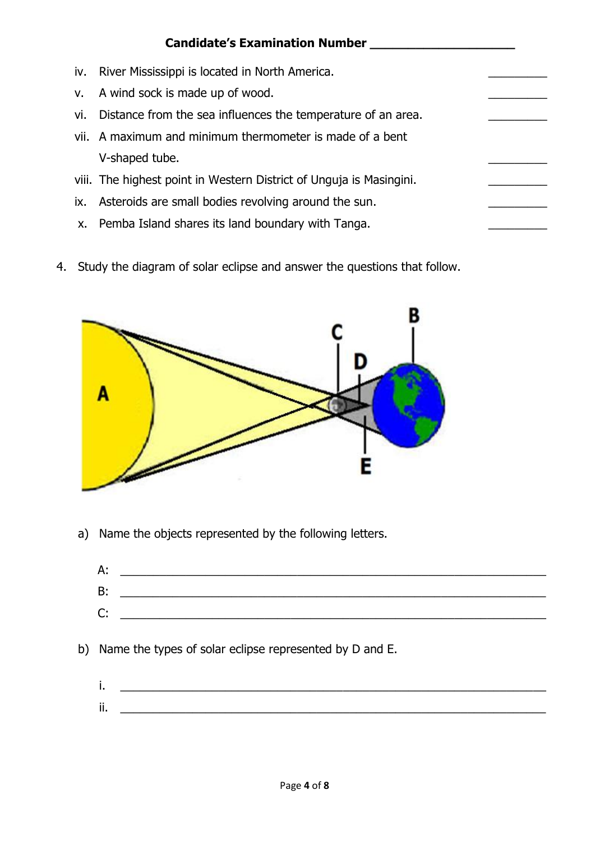|     | <b>Candidate's Examination Number</b>                               |  |
|-----|---------------------------------------------------------------------|--|
| iv. | River Mississippi is located in North America.                      |  |
| v.  | A wind sock is made up of wood.                                     |  |
| vi. | Distance from the sea influences the temperature of an area.        |  |
|     | vii. A maximum and minimum thermometer is made of a bent            |  |
|     | V-shaped tube.                                                      |  |
|     | viii. The highest point in Western District of Unguja is Masingini. |  |
| IX. | Asteroids are small bodies revolving around the sun.                |  |
| х.  | Pemba Island shares its land boundary with Tanga.                   |  |

4. Study the diagram of solar eclipse and answer the questions that follow.



a) Name the objects represented by the following letters.



- b) Name the types of solar eclipse represented by D and E.
	- $i.$   $\hskip1cm$   $\hskip1cm$   $\hskip1cm$   $\hskip1cm$   $\hskip1cm$   $\hskip1cm$   $\hskip1cm$   $\hskip1cm$   $\hskip1cm$   $\hskip1cm$   $\hskip1cm$   $\hskip1cm$   $\hskip1cm$   $\hskip1cm$   $\hskip1cm$   $\hskip1cm$   $\hskip1cm$   $\hskip1cm$   $\hskip1cm$   $\hskip1cm$   $\hskip1cm$   $\hskip1cm$   $\hskip1cm$   $\hskip1cm$   $\hskip1cm$   $\hskip1cm$   $\hskip1cm$   $\mathbf{ii.}$   $\blacksquare$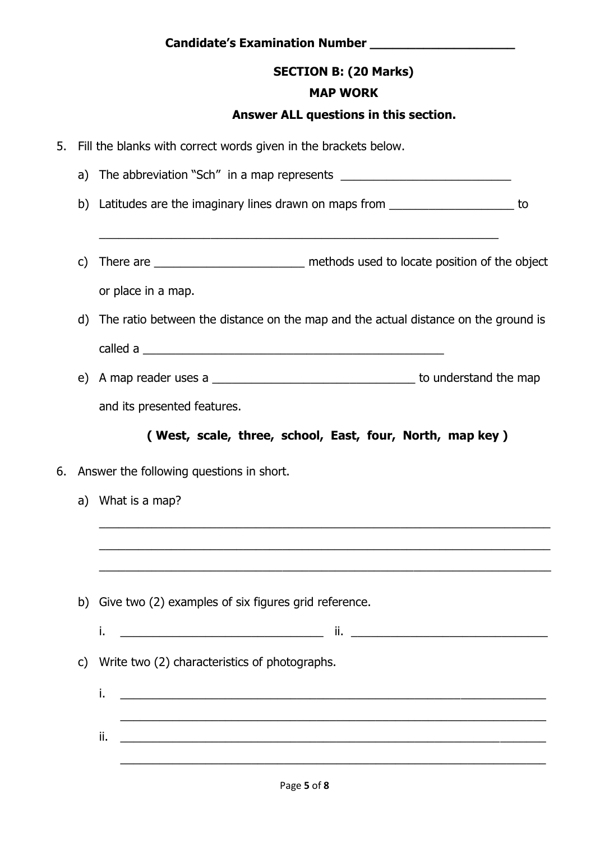## **SECTION B: (20 Marks)**

## **MAP WORK**

## **Answer ALL questions in this section.**

| 5. | Fill the blanks with correct words given in the brackets below. |                                                                                                                                                                                                        |  |  |
|----|-----------------------------------------------------------------|--------------------------------------------------------------------------------------------------------------------------------------------------------------------------------------------------------|--|--|
|    | a)                                                              |                                                                                                                                                                                                        |  |  |
|    | b)                                                              | Latitudes are the imaginary lines drawn on maps from ______________________ to<br><u> 1980 - Jan Barbara, martin da basar da basar da basa da basa da basa da basa da basa da basa da basa da basa</u> |  |  |
|    | C)                                                              | There are _____________________________ methods used to locate position of the object                                                                                                                  |  |  |
|    | d)                                                              | or place in a map.<br>The ratio between the distance on the map and the actual distance on the ground is                                                                                               |  |  |
|    | e)                                                              | and its presented features.                                                                                                                                                                            |  |  |
|    |                                                                 | (West, scale, three, school, East, four, North, map key)                                                                                                                                               |  |  |
| 6. |                                                                 | Answer the following questions in short.                                                                                                                                                               |  |  |
|    | What is a map?<br>a)                                            |                                                                                                                                                                                                        |  |  |
|    |                                                                 | b) Give two (2) examples of six figures grid reference.                                                                                                                                                |  |  |
|    |                                                                 | j.                                                                                                                                                                                                     |  |  |
|    | $\mathsf{C}$                                                    | Write two (2) characteristics of photographs.                                                                                                                                                          |  |  |
|    |                                                                 | j.<br><u> 1989 - Jan James James James James James James James James James James James James James James James James J</u>                                                                             |  |  |
|    |                                                                 | ii.                                                                                                                                                                                                    |  |  |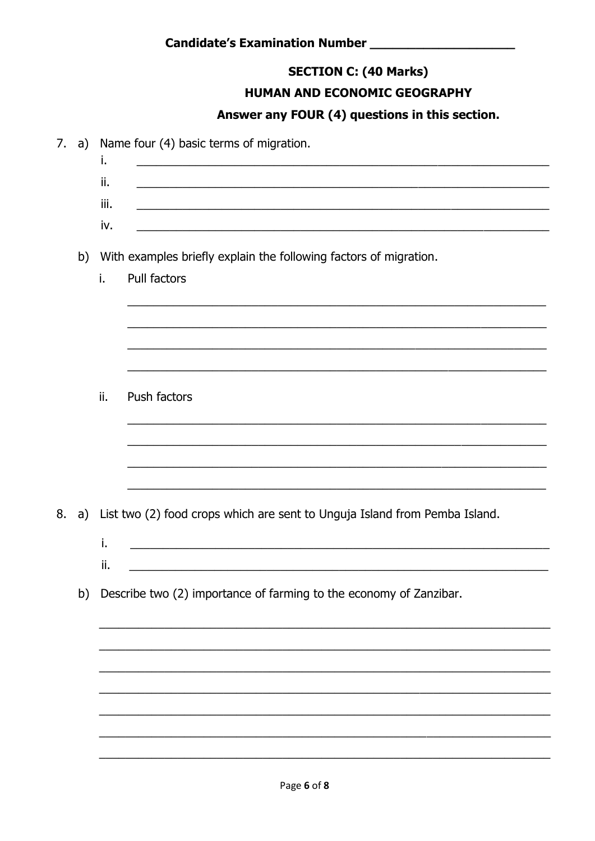## **SECTION C: (40 Marks)**

### HUMAN AND ECONOMIC GEOGRAPHY

## Answer any FOUR (4) questions in this section.

| 7. | a) | i.   | Name four (4) basic terms of migration.<br><u> 1980 - Johann John Harry Hermann (f. 1980)</u> |
|----|----|------|-----------------------------------------------------------------------------------------------|
|    |    | ii.  |                                                                                               |
|    |    | iii. |                                                                                               |
|    |    | iv.  |                                                                                               |
|    |    |      | b) With examples briefly explain the following factors of migration.                          |
|    |    | i.   | Pull factors                                                                                  |
|    |    |      |                                                                                               |
|    |    |      |                                                                                               |
|    |    |      |                                                                                               |
|    |    | ii.  | Push factors                                                                                  |
|    |    |      |                                                                                               |
|    |    |      |                                                                                               |
|    |    |      |                                                                                               |
| 8. |    |      | a) List two (2) food crops which are sent to Unguja Island from Pemba Island.                 |
|    |    | i.   | <u> 1989 - Johann John Stone, market fransk politiker (d. 1989)</u>                           |
|    |    | ii.  |                                                                                               |
|    |    |      | b) Describe two (2) importance of farming to the economy of Zanzibar.                         |
|    |    |      |                                                                                               |
|    |    |      |                                                                                               |
|    |    |      |                                                                                               |
|    |    |      |                                                                                               |
|    |    |      |                                                                                               |
|    |    |      |                                                                                               |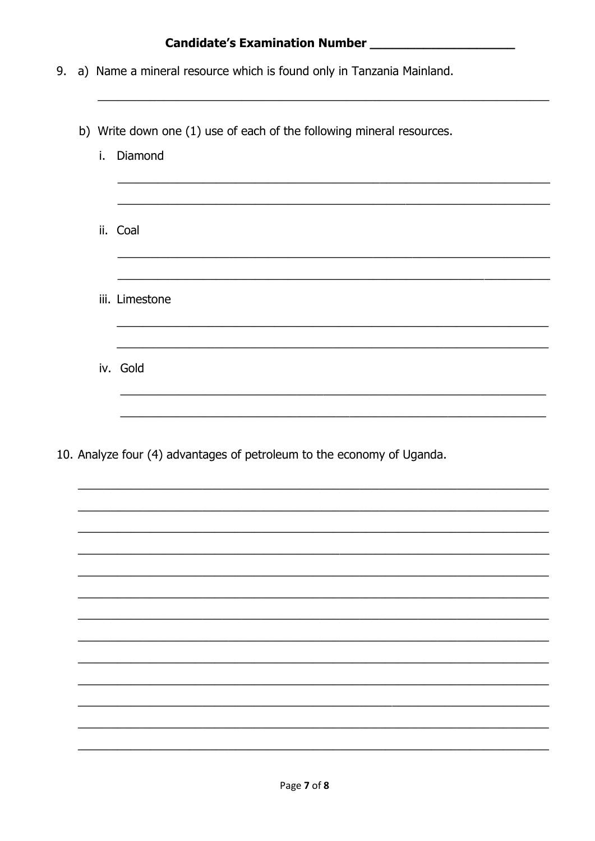# 

- 9. a) Name a mineral resource which is found only in Tanzania Mainland.
	- b) Write down one (1) use of each of the following mineral resources.

| i. Diamond                                                             |
|------------------------------------------------------------------------|
| ii. Coal                                                               |
|                                                                        |
| iii. Limestone                                                         |
|                                                                        |
| iv. Gold                                                               |
|                                                                        |
|                                                                        |
| 10. Analyze four (4) advantages of petroleum to the economy of Uganda. |